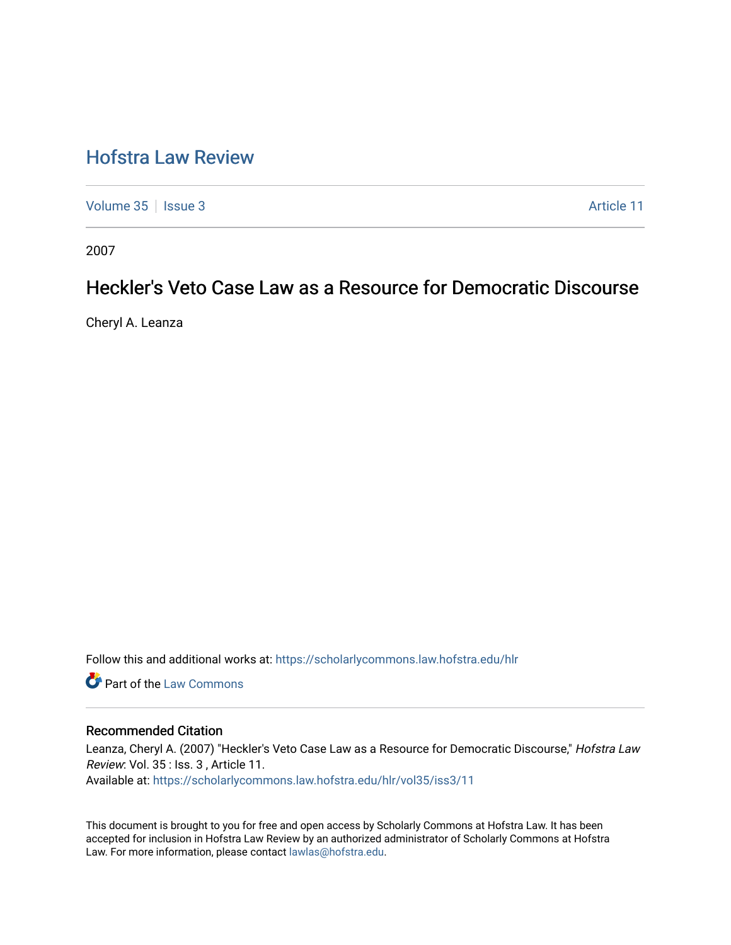# [Hofstra Law Review](https://scholarlycommons.law.hofstra.edu/hlr)

[Volume 35](https://scholarlycommons.law.hofstra.edu/hlr/vol35) | [Issue 3](https://scholarlycommons.law.hofstra.edu/hlr/vol35/iss3) Article 11

2007

# Heckler's Veto Case Law as a Resource for Democratic Discourse

Cheryl A. Leanza

Follow this and additional works at: [https://scholarlycommons.law.hofstra.edu/hlr](https://scholarlycommons.law.hofstra.edu/hlr?utm_source=scholarlycommons.law.hofstra.edu%2Fhlr%2Fvol35%2Fiss3%2F11&utm_medium=PDF&utm_campaign=PDFCoverPages)

**C** Part of the [Law Commons](http://network.bepress.com/hgg/discipline/578?utm_source=scholarlycommons.law.hofstra.edu%2Fhlr%2Fvol35%2Fiss3%2F11&utm_medium=PDF&utm_campaign=PDFCoverPages)

## Recommended Citation

Leanza, Cheryl A. (2007) "Heckler's Veto Case Law as a Resource for Democratic Discourse," Hofstra Law Review: Vol. 35 : Iss. 3 , Article 11.

Available at: [https://scholarlycommons.law.hofstra.edu/hlr/vol35/iss3/11](https://scholarlycommons.law.hofstra.edu/hlr/vol35/iss3/11?utm_source=scholarlycommons.law.hofstra.edu%2Fhlr%2Fvol35%2Fiss3%2F11&utm_medium=PDF&utm_campaign=PDFCoverPages) 

This document is brought to you for free and open access by Scholarly Commons at Hofstra Law. It has been accepted for inclusion in Hofstra Law Review by an authorized administrator of Scholarly Commons at Hofstra Law. For more information, please contact [lawlas@hofstra.edu.](mailto:lawlas@hofstra.edu)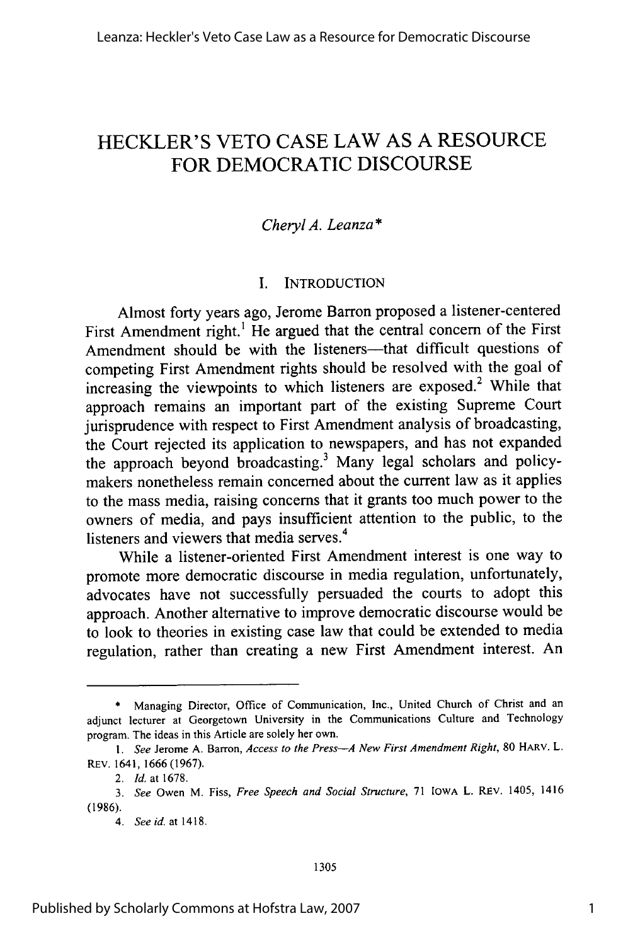## HECKLER'S VETO CASE LAW **AS A** RESOURCE FOR DEMOCRATIC DISCOURSE

## *Cheryl A. Leanza* **\***

## I. INTRODUCTION

Almost forty years ago, Jerome Barron proposed a listener-centered First Amendment right.' He argued that the central concern of the First Amendment should be with the listeners-that difficult questions of competing First Amendment rights should be resolved with the goal of increasing the viewpoints to which listeners are exposed.<sup>2</sup> While that approach remains an important part of the existing Supreme Court jurisprudence with respect to First Amendment analysis of broadcasting, the Court rejected its application to newspapers, and has not expanded the approach beyond broadcasting.<sup>3</sup> Many legal scholars and policymakers nonetheless remain concerned about the current law as it applies to the mass media, raising concerns that it grants too much power to the owners of media, and pays insufficient attention to the public, to the 4 listeners and viewers that media serves.<sup>4</sup>

While a listener-oriented First Amendment interest is one way to promote more democratic discourse in media regulation, unfortunately, advocates have not successfully persuaded the courts to adopt this approach. Another alternative to improve democratic discourse would be to look to theories in existing case law that could be extended to media regulation, rather than creating a new First Amendment interest. An

<sup>\*</sup> Managing Director, Office of Communication, Inc., United Church of Christ and an adjunct lecturer at Georgetown University in the Communications Culture and Technology program. The ideas in this Article are solely her own.

*<sup>1.</sup>* See Jerome A. Barron, *Access to the Press-A New First Amendment Right,* 80 HARV. L. REV. 1641, 1666 (1967).

<sup>2.</sup> *Id.* at 1678.

*<sup>3.</sup> See* Owen M. Fiss, *Free Speech and Social Structure,* 71 IOWA L. REV. 1405, 1416 (1986).

*<sup>4.</sup> See id.* at 1418.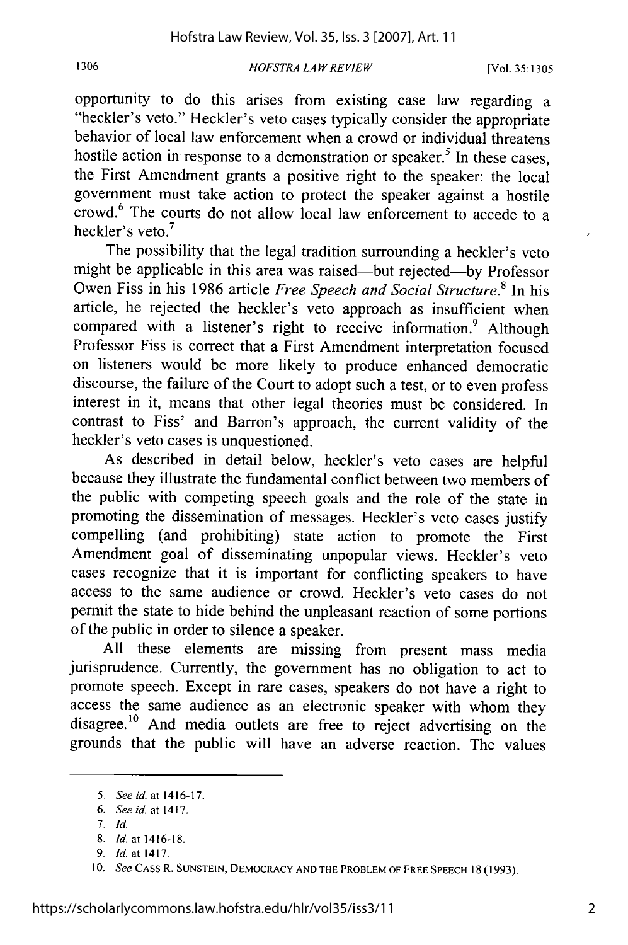#### *HOFSTRA LA W REVIEW* **1306** [Vol. **35:1305**

opportunity to do this arises from existing case law regarding a "heckler's veto." Heckler's veto cases typically consider the appropriate behavior of local law enforcement when a crowd or individual threatens hostile action in response to a demonstration or speaker.<sup>5</sup> In these cases, the First Amendment grants a positive right to the speaker: the local government must take action to protect the speaker against a hostile crowd.<sup>6</sup> The courts do not allow local law enforcement to accede to a heckler's veto. $<sup>7</sup>$ </sup>

The possibility that the legal tradition surrounding a heckler's veto might be applicable in this area was raised-but rejected-by Professor Owen Fiss in his 1986 article *Free Speech and Social Structure.8* In his article, he rejected the heckler's veto approach as insufficient when compared with a listener's right to receive information.<sup>9</sup> Although Professor Fiss is correct that a First Amendment interpretation focused on listeners would be more likely to produce enhanced democratic discourse, the failure of the Court to adopt such a test, or to even profess interest in it, means that other legal theories must be considered. In contrast to Fiss' and Barron's approach, the current validity of the heckler's veto cases is unquestioned.

As described in detail below, heckler's veto cases are helpful because they illustrate the fundamental conflict between two members of the public with competing speech goals and the role of the state in promoting the dissemination of messages. Heckler's veto cases justify compelling (and prohibiting) state action to promote the First Amendment goal of disseminating unpopular views. Heckler's veto cases recognize that it is important for conflicting speakers to have access to the same audience or crowd. Heckler's veto cases do not permit the state to hide behind the unpleasant reaction of some portions of the public in order to silence a speaker.

All these elements are missing from present mass media jurisprudence. Currently, the government has no obligation to act to promote speech. Except in rare cases, speakers do not have a right to access the same audience as an electronic speaker with whom they disagree.<sup>10</sup> And media outlets are free to reject advertising on the grounds that the public will have an adverse reaction. The values

*<sup>5.</sup> See id.* at 1416-17.

*<sup>6.</sup> Seeid. at1417.*

<sup>7.</sup> *Id.*

<sup>8.</sup> *Id.* at 1416-18.

*<sup>9.</sup>* Id. at 1417.

**<sup>10.</sup>** *See* CASS R. **SUNSTEIN,** DEMOCRACY **AND** THE **PROBLEM** OF **FREE SPEECH** 18 (1993).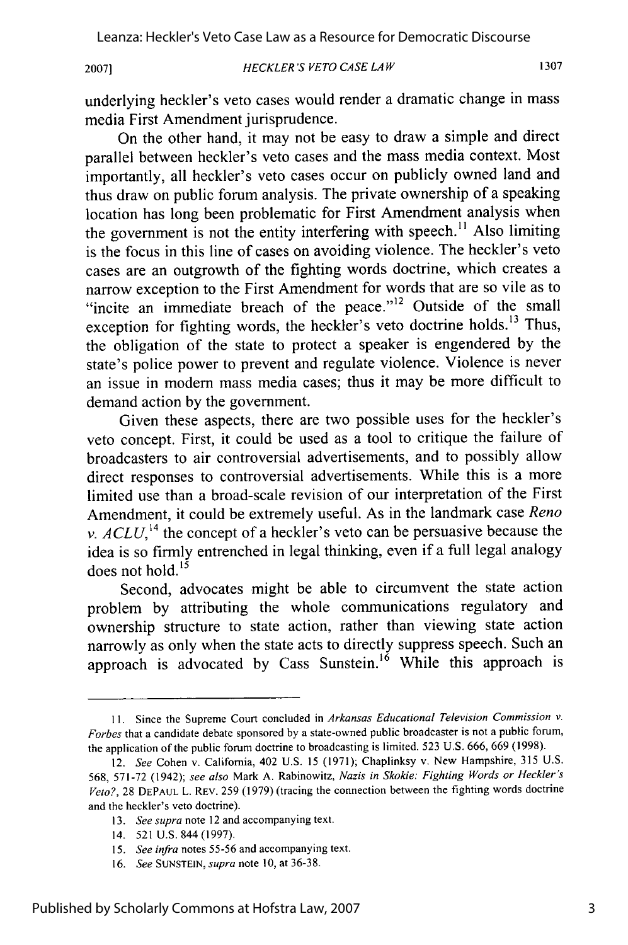#### *HECKLER'S VETO CASE LA W* **2007] 1307**

underlying heckler's veto cases would render a dramatic change in mass media First Amendment jurisprudence.

On the other hand, it may not be easy to draw a simple and direct parallel between heckler's veto cases and the mass media context. Most importantly, all heckler's veto cases occur on publicly owned land and thus draw on public forum analysis. The private ownership of a speaking location has long been problematic for First Amendment analysis when the government is not the entity interfering with speech.<sup>11</sup> Also limiting is the focus in this line of cases on avoiding violence. The heckler's veto cases are an outgrowth of the fighting words doctrine, which creates a narrow exception to the First Amendment for words that are so vile as to "incite an immediate breach of the peace."<sup>12</sup> Outside of the small exception for fighting words, the heckler's veto doctrine holds.<sup>13</sup> Thus, the obligation of the state to protect a speaker is engendered by the state's police power to prevent and regulate violence. Violence is never an issue in modem mass media cases; thus it may be more difficult to demand action by the government.

Given these aspects, there are two possible uses for the heckler's veto concept. First, it could be used as a tool to critique the failure of broadcasters to air controversial advertisements, and to possibly allow direct responses to controversial advertisements. While this is a more limited use than a broad-scale revision of our interpretation of the First Amendment, it could be extremely useful. As in the landmark case *Reno v.*  $ACLU$ *,*<sup>14</sup> the concept of a heckler's veto can be persuasive because the idea is so firmly entrenched in legal thinking, even if a full legal analogy does not hold. $15$ 

Second, advocates might be able to circumvent the state action problem by attributing the whole communications regulatory and ownership structure to state action, rather than viewing state action narrowly as only when the state acts to directly suppress speech. Such an approach is advocated by Cass Sunstein.<sup>16</sup> While this approach is

- *13. See supra* note 12 and accompanying text.
- 14. 521 U.S. 844 (1997).

**<sup>11.</sup>** Since the Supreme Court concluded in Arkansas *Educational Television Commission v. Forbes* that a candidate debate sponsored by a state-owned public broadcaster is not a public forum, the application of the public forum doctrine to broadcasting is limited. 523 U.S. 666, 669 (1998).

<sup>12.</sup> *See* Cohen v. California, 402 U.S. 15 (1971); Chaplinksy v. New Hampshire, 315 U.S. 568, 571-72 (1942); see *also* Mark A. Rabinowitz, *Nazis in Skokie: Fighting Words or Heckler's Veto?,* 28 DEPAUL L. REV. 259 (1979) (tracing the connection between the fighting words doctrine and the heckler's veto doctrine).

*<sup>15.</sup> See infra* notes 55-56 and accompanying text.

<sup>16.</sup> *See* SUNSTEIN, *supra* note 10, at 36-38.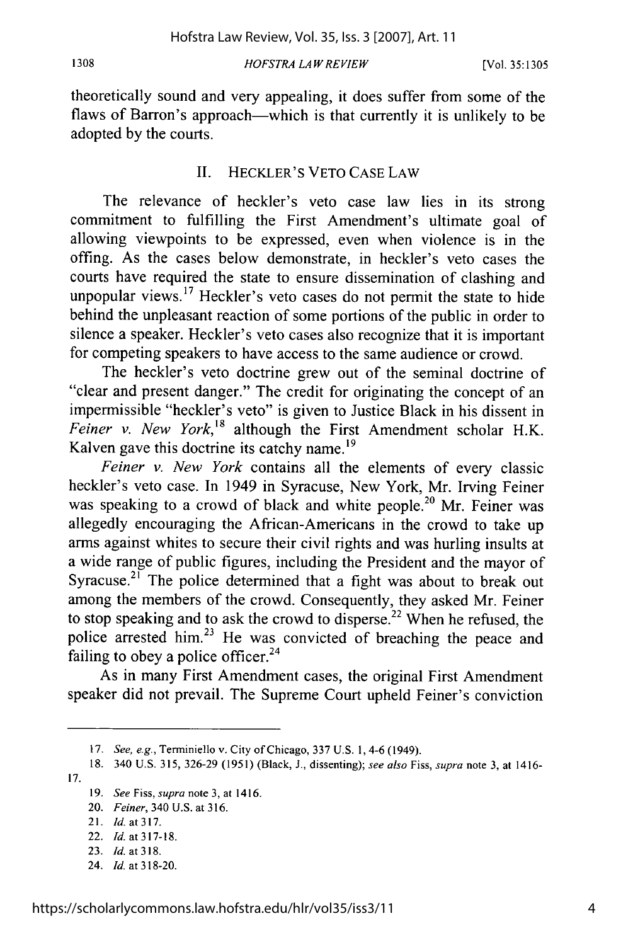#### *HOFSTRA LAW REVIEW* **1308** [Vol. **35:1305**

theoretically sound and very appealing, it does suffer from some of the flaws of Barron's approach—which is that currently it is unlikely to be adopted by the courts.

## II. HECKLER'S VETO CASE LAW

The relevance of heckler's veto case law lies in its strong commitment to fulfilling the First Amendment's ultimate goal of allowing viewpoints to be expressed, even when violence is in the offing. As the cases below demonstrate, in heckler's veto cases the courts have required the state to ensure dissemination of clashing and unpopular views.<sup>17</sup> Heckler's veto cases do not permit the state to hide behind the unpleasant reaction of some portions of the public in order to silence a speaker. Heckler's veto cases also recognize that it is important for competing speakers to have access to the same audience or crowd.

The heckler's veto doctrine grew out of the seminal doctrine of "clear and present danger." The credit for originating the concept of an impermissible "heckler's veto" is given to Justice Black in his dissent in *Feiner v. New York*,<sup>18</sup> although the First Amendment scholar H.K. Kalven gave this doctrine its catchy name.<sup>19</sup>

*Feiner v. New York* contains all the elements of every classic heckler's veto case. In 1949 in Syracuse, New York, Mr. Irving Feiner was speaking to a crowd of black and white people.<sup>20</sup> Mr. Feiner was allegedly encouraging the African-Americans in the crowd to take up arms against whites to secure their civil rights and was hurling insults at a wide range of public figures, including the President and the mayor of Syracuse.<sup>21</sup> The police determined that a fight was about to break out among the members of the crowd. Consequently, they asked Mr. Feiner to stop speaking and to ask the crowd to disperse.<sup>22</sup> When he refused, the police arrested him.<sup>23</sup> He was convicted of breaching the peace and failing to obey a police officer. $24$ 

As in many First Amendment cases, the original First Amendment speaker did not prevail. The Supreme Court upheld Feiner's conviction

<sup>17.</sup> *See, e.g.,* Terminiello v. City of Chicago, 337 U.S. 1,4-6 (1949).

<sup>18. 340</sup> U.S. 315, 326-29 (1951) (Black, J., dissenting); *see also* Fiss, *supra* note 3, at 1416- **17.**

<sup>19.</sup> *See Fiss, supra* note 3, at 1416.

<sup>20.</sup> *Feiner,* 340 U.S. at 316.

<sup>21.</sup> Id. at 317.

<sup>22.</sup> Id. at 317-18.

<sup>23.</sup> Id. at 318.

<sup>24.</sup> *Id.* at 318-20.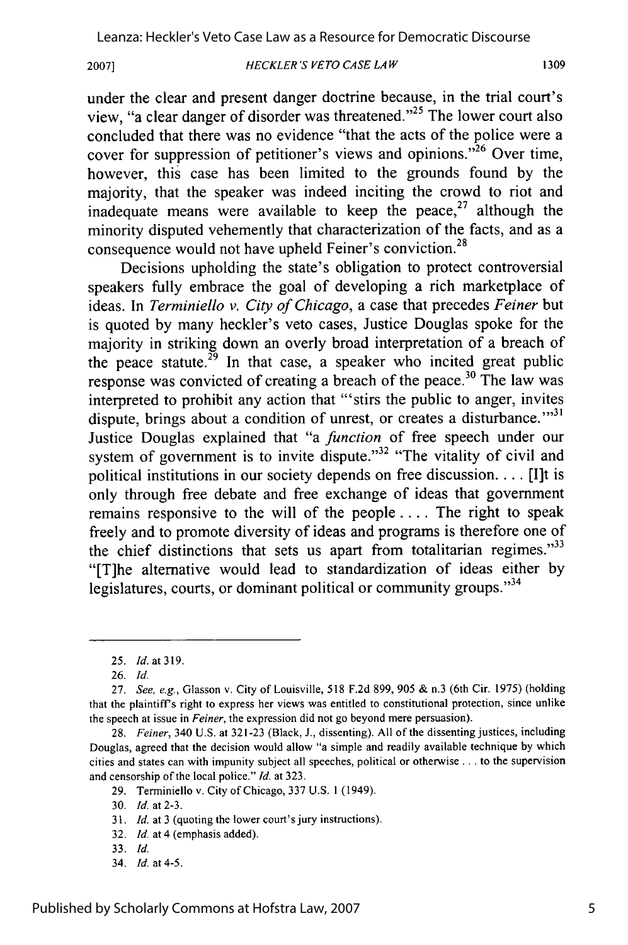*HECKLER'S VETO CASE LA W* **2007]**

under the clear and present danger doctrine because, in the trial court's view, "a clear danger of disorder was threatened."<sup>25</sup> The lower court also concluded that there was no evidence "that the acts of the police were a cover for suppression of petitioner's views and opinions."<sup>26</sup> Over time, however, this case has been limited to the grounds found by the majority, that the speaker was indeed inciting the crowd to riot and inadequate means were available to keep the peace,<sup>27</sup> although the minority disputed vehemently that characterization of the facts, and as a consequence would not have upheld Feiner's conviction.<sup>28</sup>

Decisions upholding the state's obligation to protect controversial speakers fully embrace the goal of developing a rich marketplace of ideas. In *Terminiello v. City of Chicago,* a case that precedes *Feiner* but is quoted by many heckler's veto cases, Justice Douglas spoke for the majority in striking down an overly broad interpretation of a breach of the peace statute.<sup>29</sup> In that case, a speaker who incited great public response was convicted of creating a breach of the peace.<sup>30</sup> The law was interpreted to prohibit any action that "'stirs the public to anger, invites dispute, brings about a condition of unrest, or creates a disturbance."<sup>31</sup> Justice Douglas explained that "a *function* of free speech under our system of government is to invite dispute."<sup>32</sup> "The vitality of civil and political institutions in our society depends on free discussion **....** [I]t is only through free debate and free exchange of ideas that government remains responsive to the will of the people .... The right to speak freely and to promote diversity of ideas and programs is therefore one of the chief distinctions that sets us apart from totalitarian regimes. $33$ "[T]he alternative would lead to standardization of ideas either by legislatures, courts, or dominant political or community groups."<sup>34</sup>

- 31. *Id.* at 3 (quoting the lower court's jury instructions).
- 32. *Id.* at 4 (emphasis added).
- 33. *Id.*
- 34. *Id.* at 4-5.

<sup>25.</sup> *Id.* at 319.

<sup>26.</sup> *Id.*

<sup>27.</sup> *See, e.g.,* Glasson v. City of Louisville, 518 F.2d 899, 905 & n.3 (6th Cir. 1975) (holding that the plaintiff's right to express her views was entitled to constitutional protection, since unlike the speech at issue in *Feiner,* the expression did not go beyond mere persuasion).

<sup>28.</sup> *Feiner,* 340 U.S. at 321-23 (Black, J., dissenting). All of the dissenting justices, including Douglas, agreed that the decision would allow "a simple and readily available technique by which cities and states can with impunity subject all speeches, political or otherwise **...** to the supervision and censorship of the local police." *Id.* at 323.

<sup>29.</sup> Terminiello v. City of Chicago, 337 U.S. 1 (1949).

<sup>30.</sup> *Id.* at 2-3.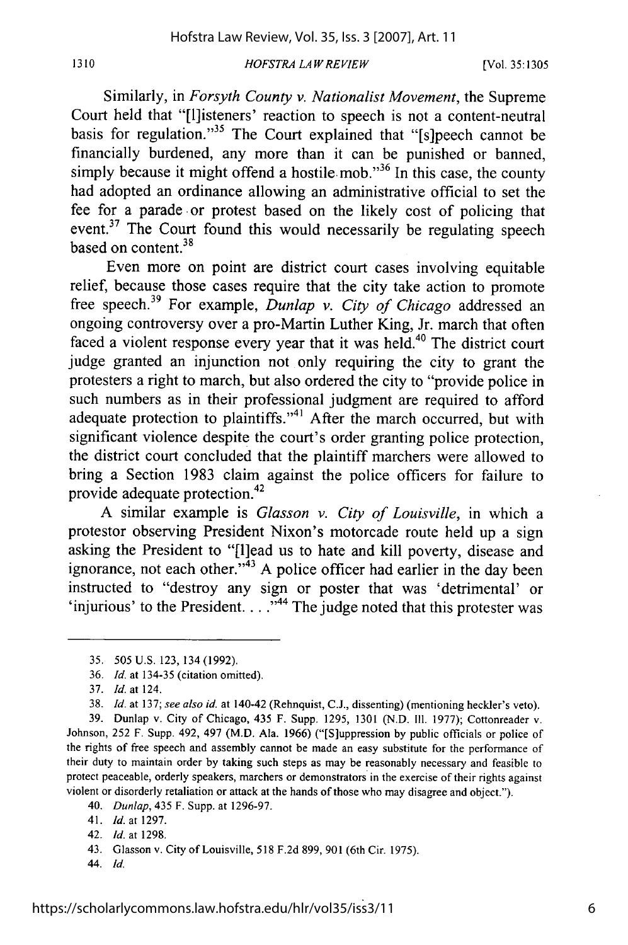### *HOFSTRA LAW REVIEW*

Similarly, in *Forsyth County v. Nationalist Movement,* the Supreme Court held that "[1]isteners' reaction to speech is not a content-neutral basis for regulation."<sup>35</sup> The Court explained that "[s]peech cannot be financially burdened, any more than it can be punished or banned, simply because it might offend a hostile mob. $^{356}$  In this case, the county had adopted an ordinance allowing an administrative official to set the fee for a parade or protest based on the likely cost of policing that event.<sup>37</sup> The Court found this would necessarily be regulating speech based on content.<sup>38</sup>

Even more on point are district court cases involving equitable relief, because those cases require that the city take action to promote free speech. 39 For example, *Dunlap v. City of Chicago* addressed an ongoing controversy over a pro-Martin Luther King, Jr. march that often faced a violent response every year that it was held.<sup>40</sup> The district court judge granted an injunction not only requiring the city to grant the protesters a right to march, but also ordered the city to "provide police in such numbers as in their professional judgment are required to afford adequate protection to plaintiffs."<sup>41</sup> After the march occurred, but with significant violence despite the court's order granting police protection, the district court concluded that the plaintiff marchers were allowed to bring a Section 1983 claim against the police officers for failure to provide adequate protection.<sup>42</sup>

A similar example is *Glasson v. City of Louisville,* in which a protestor observing President Nixon's motorcade route held up a sign asking the President to "[1]ead us to hate and kill poverty, disease and ignorance, not each other. $n<sup>43</sup>$  A police officer had earlier in the day been instructed to "destroy any sign or poster that was 'detrimental' or 'injurious' to the President. . . .<sup>744</sup> The judge noted that this protester was

1310

39. Dunlap v. City of Chicago, 435 F. Supp. 1295, 1301 (N.D. Ill. 1977); Cottonreader v. Johnson, 252 F. Supp. 492, 497 (M.D. Ala. 1966) ("[S]uppression by public officials or police of the rights of free speech and assembly cannot be made an easy substitute for the performance of their duty to maintain order by taking such steps as may be reasonably necessary and feasible to protect peaceable, orderly speakers, marchers or demonstrators in the exercise of their rights against violent or disorderly retaliation or attack at the hands of those who may disagree and object.").

42. *Id.* at 1298.

<sup>35. 505</sup> U.S. 123, 134 (1992).

<sup>36.</sup> *Id.* at 134-35 (citation omitted).

<sup>37.</sup> *Id.* at 124.

<sup>38.</sup> *Id.* at 137; *see also id.* at 140-42 (Rehnquist, C.J., dissenting) (mentioning heckler's veto).

<sup>40.</sup> *Dunlap,* 435 F. Supp. at 1296-97.

<sup>41.</sup> *Id.* at 1297.

<sup>43.</sup> Glasson v. City of Louisville, 518 F.2d 899, 901 (6th Cir. 1975).

<sup>44.</sup> *Id.*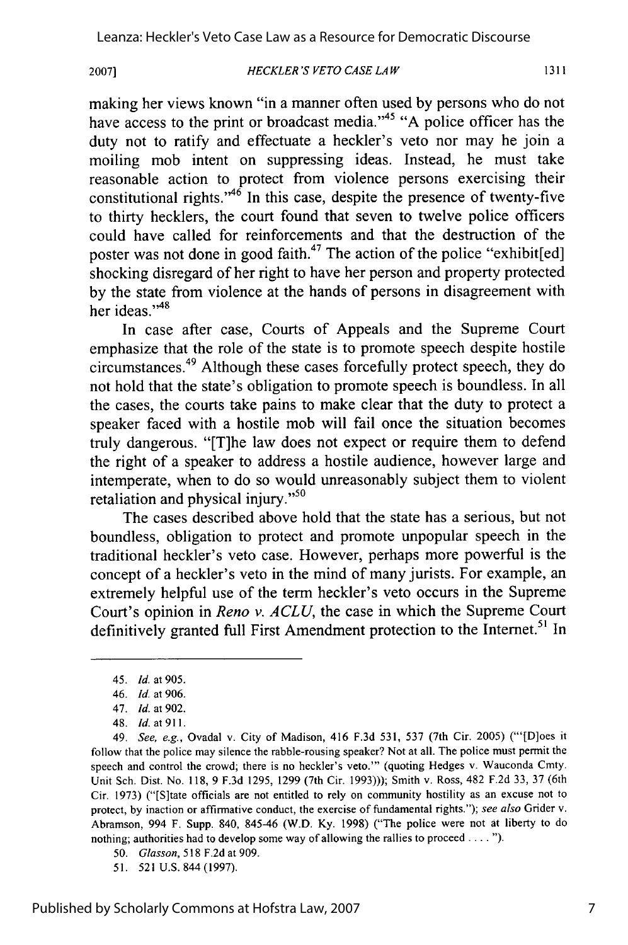*HECKLER'S VETO CASE LAW* **20071**

making her views known "in a manner often used by persons who do not have access to the print or broadcast media."<sup>45</sup> "A police officer has the duty not to ratify and effectuate a heckler's veto nor may he join a moiling mob intent on suppressing ideas. Instead, he must take reasonable action to protect from violence persons exercising their constitutional rights." $46$  In this case, despite the presence of twenty-five to thirty hecklers, the court found that seven to twelve police officers could have called for reinforcements and that the destruction of the poster was not done in good faith.<sup>47</sup> The action of the police "exhibit[ed] shocking disregard of her right to have her person and property protected by the state from violence at the hands of persons in disagreement with her ideas."<sup>48</sup>

In case after case, Courts of Appeals and the Supreme Court emphasize that the role of the state is to promote speech despite hostile circumstances. 49 Although these cases forcefully protect speech, they do not hold that the state's obligation to promote speech is boundless. In all the cases, the courts take pains to make clear that the duty to protect a speaker faced with a hostile mob will fail once the situation becomes truly dangerous. "[T]he law does not expect or require them to defend the right of a speaker to address a hostile audience, however large and intemperate, when to do so would unreasonably subject them to violent retaliation and physical injury."<sup>50</sup>

The cases described above hold that the state has a serious, but not boundless, obligation to protect and promote unpopular speech in the traditional heckler's veto case. However, perhaps more powerful is the concept of a heckler's veto in the mind of many jurists. For example, an extremely helpful use of the term heckler's veto occurs in the Supreme Court's opinion in *Reno v. ACLU,* the case in which the Supreme Court definitively granted full First Amendment protection to the Internet.<sup>51</sup> In

<sup>45.</sup> *Id.* at 905.

<sup>46.</sup> Id. at 906.

<sup>47.</sup> *Id.* at 902.

<sup>48.</sup> *Id.* at **911.**

<sup>49.</sup> *See, e.g.,* Ovadal v. City of Madison, 416 F.3d 531, 537 (7th Cir. 2005) ("'[D]oes it follow that the police may silence the rabble-rousing speaker? Not at all. The police must permit the speech and control the crowd; there is no heckler's veto."' (quoting Hedges v. Wauconda Cmty. Unit Sch. Dist. No. 118, 9 F.3d 1295, 1299 (7th Cir. 1993))); Smith v. Ross, 482 F.2d 33, 37 (6th Cir. 1973) ("[S]tate officials are not entitled to rely on community hostility as an excuse not to protect, by inaction or affirmative conduct, the exercise of fundamental rights."); *see also* Gider v. Abramson, 994 F. Supp. 840, 845-46 (W.D. Ky. 1998) ("The police were not at liberty to do nothing; authorities had to develop some way of allowing the rallies to proceed . . . . ").

<sup>50.</sup> *Glasson,* 518 F.2d at 909.

<sup>51. 521</sup> U.S. 844 (1997).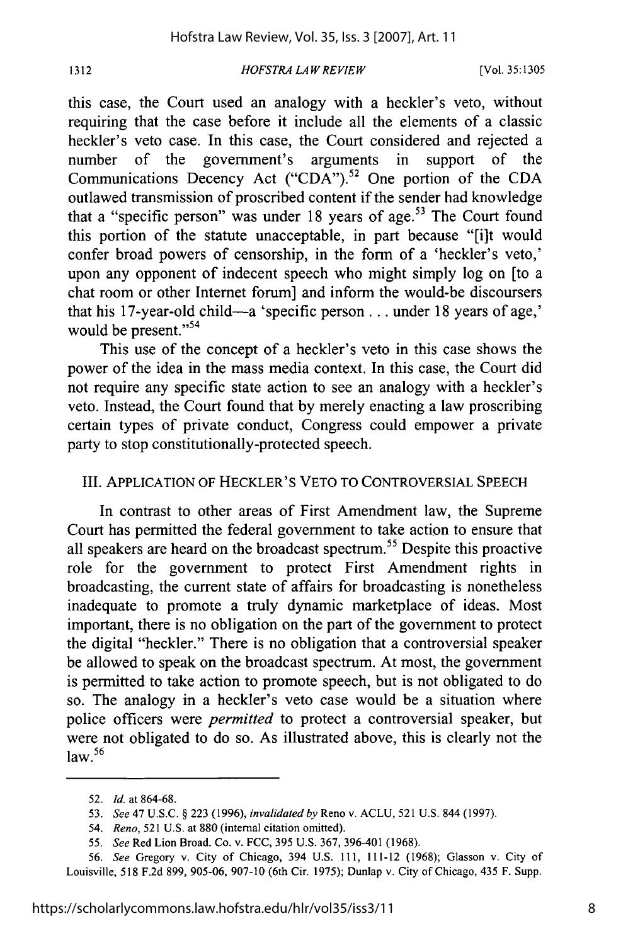*HOFSTRA LA W REVIEW*

this case, the Court used an analogy with a heckler's veto, without requiring that the case before it include all the elements of a classic heckler's veto case. In this case, the Court considered and rejected a number of the government's arguments in support of the Communications Decency Act ("CDA").<sup>52</sup> One portion of the CDA outlawed transmission of proscribed content if the sender had knowledge that a "specific person" was under 18 years of age.<sup>53</sup> The Court found this portion of the statute unacceptable, in part because "[i]t would confer broad powers of censorship, in the form of a 'heckler's veto,' upon any opponent of indecent speech who might simply log on [to a chat room or other Internet forum] and inform the would-be discoursers that his 17-year-old child-a 'specific person **...** under 18 years of age,' would be present."<sup>54</sup>

This use of the concept of a heckler's veto in this case shows the power of the idea in the mass media context. In this case, the Court did not require any specific state action to see an analogy with a heckler's veto. Instead, the Court found that by merely enacting a law proscribing certain types of private conduct, Congress could empower a private party to stop constitutionally-protected speech.

## III. APPLICATION OF HECKLER'S VETO TO CONTROVERSIAL SPEECH

In contrast to other areas of First Amendment law, the Supreme Court has permitted the federal government to take action to ensure that all speakers are heard on the broadcast spectrum.<sup>55</sup> Despite this proactive role for the government to protect First Amendment rights in broadcasting, the current state of affairs for broadcasting is nonetheless inadequate to promote a truly dynamic marketplace of ideas. Most important, there is no obligation on the part of the government to protect the digital "heckler." There is no obligation that a controversial speaker be allowed to speak on the broadcast spectrum. At most, the government is permitted to take action to promote speech, but is not obligated to do so. The analogy in a heckler's veto case would be a situation where police officers were *permitted* to protect a controversial speaker, but were not obligated to do so. As illustrated above, this is clearly not the  $\frac{1}{2}$ law.<sup>56</sup>

<sup>52.</sup> *Id.* at 864-68.

<sup>53.</sup> *See* 47 U.S.C. **§** 223 (1996), *invalidated by* Reno v. ACLU, 521 U.S. 844 (1997).

<sup>54.</sup> *Reno,* 521 U.S. at 880 (internal citation omitted).

<sup>55.</sup> *See* Red Lion Broad. Co. v. FCC, 395 U.S. 367, 396-401 (1968).

<sup>56.</sup> *See* Gregory v. City of Chicago, 394 U.S. 111, 111-12 (1968); Glasson v. City of Louisville, 518 F.2d 899, 905-06, 907-10 (6th Cir. 1975); Dunlap v. City of Chicago, 435 F. Supp.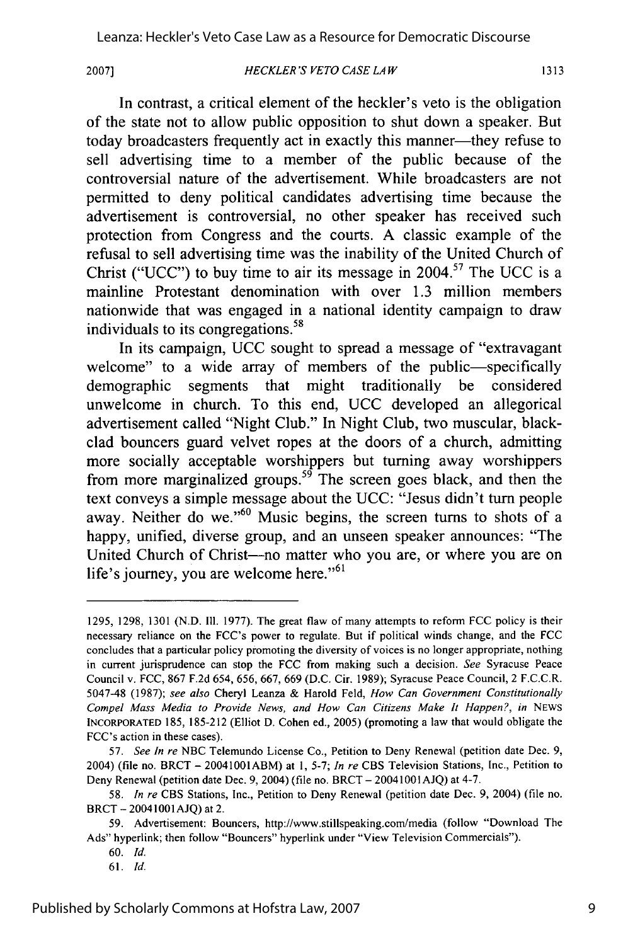**2007]**

#### *HECKLER'S VETO CASE LAW*

In contrast, a critical element of the heckler's veto is the obligation of the state not to allow public opposition to shut down a speaker. But today broadcasters frequently act in exactly this manner—they refuse to sell advertising time to a member of the public because of the controversial nature of the advertisement. While broadcasters are not permitted to deny political candidates advertising time because the advertisement is controversial, no other speaker has received such protection from Congress and the courts. A classic example of the refusal to sell advertising time was the inability of the United Church of Christ ("UCC") to buy time to air its message in  $2004$ <sup>57</sup>. The UCC is a mainline Protestant denomination with over 1.3 million members nationwide that was engaged in a national identity campaign to draw individuals to its congregations.<sup>58</sup>

In its campaign, UCC sought to spread a message of "extravagant welcome" to a wide array of members of the public-specifically demographic segments that might traditionally be considered unwelcome in church. To this end, UCC developed an allegorical advertisement called "Night Club." In Night Club, two muscular, blackclad bouncers guard velvet ropes at the doors of a church, admitting more socially acceptable worshippers but turning away worshippers from more marginalized groups.<sup>59</sup> The screen goes black, and then the text conveys a simple message about the UCC: "Jesus didn't turn people away. Neither do we."<sup>60</sup> Music begins, the screen turns to shots of a happy, unified, diverse group, and an unseen speaker announces: "The United Church of Christ--no matter who you are, or where you are on life's journey, you are welcome here." $61$ 

61. *Id.*

<sup>1295, 1298, 1301 (</sup>N.D. **111.** 1977). The great flaw of many attempts to reform FCC policy is their necessary reliance on the FCC's power to regulate. But if political winds change, and the FCC concludes that a particular policy promoting the diversity of voices is no longer appropriate, nothing in current jurisprudence can stop the FCC from making such a decision. *See* Syracuse Peace Council v. FCC, 867 F.2d 654, 656, 667, 669 (D.C. Cir. 1989); Syracuse Peace Council, 2 F.C.C.R. 5047-48 (1987); *see also* Cheryl Leanza & Harold Feld, *How Can Government Constitutionally Compel Mass Media to Provide News, and How Can Citizens Make It Happen?, in NEWS* INCORPORATED 185, 185-212 (Elliot D. Cohen ed., 2005) (promoting a law that would obligate the FCC's action in these cases).

*<sup>57.</sup> See In re* NBC Telemundo License Co., Petition to Deny Renewal (petition date Dec. 9, 2004) (file no. BRCT - 20041001ABM) at 1, 5-7; *In re* CBS Television Stations, Inc., Petition to Deny Renewal (petition date Dec. 9, 2004) (file no. BRCT- 20041001AJQ) at 4-7.

<sup>58.</sup> *In re* CBS Stations, Inc., Petition to Deny Renewal (petition date Dec. 9, 2004) (file no. BRCT - 20041001AJQ) at 2.

<sup>59.</sup> Advertisement: Bouncers, http://www.stillspeaking.com/media (follow "Download The Ads" hyperlink; then follow "Bouncers" hyperlink under "View Television Commercials").

<sup>60.</sup> *Id.*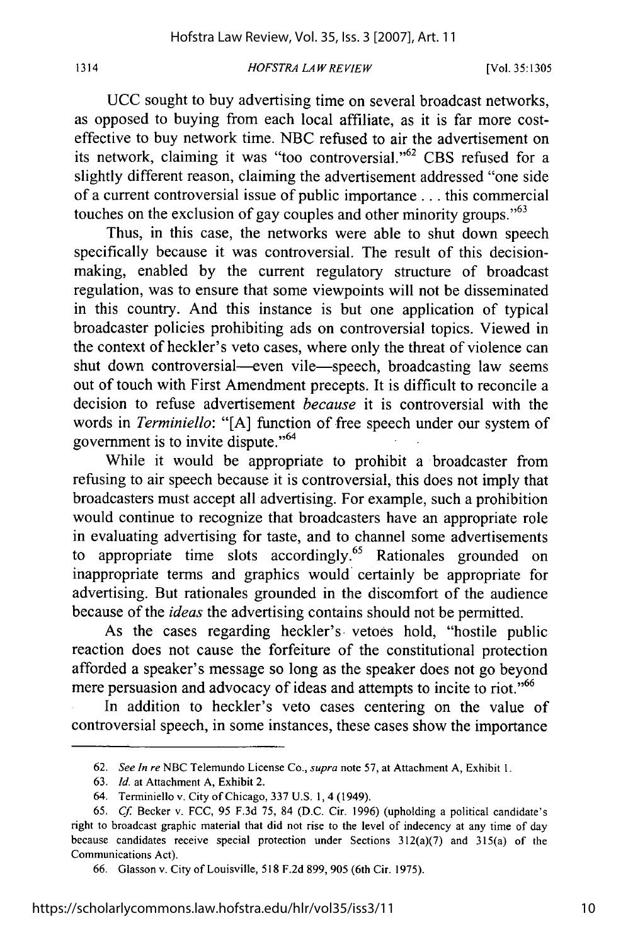#### *HOFSTRA LA W REVIEW*

1314

UCC sought to buy advertising time on several broadcast networks, as opposed to buying from each local affiliate, as it is far more costeffective to buy network time. NBC refused to air the advertisement on its network, claiming it was "too controversial."<sup>62</sup> CBS refused for a slightly different reason, claiming the advertisement addressed "one side of a current controversial issue of public importance **...** this commercial touches on the exclusion of gay couples and other minority groups.<sup> $55$ </sup>

Thus, in this case, the networks were able to shut down speech specifically because it was controversial. The result of this decisionmaking, enabled by the current regulatory structure of broadcast regulation, was to ensure that some viewpoints will not be disseminated in this country. And this instance is but one application of typical broadcaster policies prohibiting ads on controversial topics. Viewed in the context of heckler's veto cases, where only the threat of violence can shut down controversial—even vile—speech, broadcasting law seems out of touch with First Amendment precepts. It is difficult to reconcile a decision to refuse advertisement *because* it is controversial with the words in *Terminiello:* "[A] function of free speech under our system of government is to invite dispute."<sup>64</sup>

While it would be appropriate to prohibit a broadcaster from refusing to air speech because it is controversial, this does not imply that broadcasters must accept all advertising. For example, such a prohibition would continue to recognize that broadcasters have an appropriate role in evaluating advertising for taste, and to channel some advertisements to appropriate time slots accordingly.<sup>65</sup> Rationales grounded on inappropriate terms and graphics would certainly be appropriate for advertising. But rationales grounded in the discomfort of the audience because of the *ideas* the advertising contains should not be permitted.

As the cases regarding heckler's vetoes hold, "hostile public reaction does not cause the forfeiture of the constitutional protection afforded a speaker's message so long as the speaker does not go beyond mere persuasion and advocacy of ideas and attempts to incite to riot."<sup>66</sup>

In addition to heckler's veto cases centering on the value of controversial speech, in some instances, these cases show the importance

<sup>62.</sup> *See In re* NBC Telemundo License Co., *supra* note 57, at Attachment A, Exhibit **1.**

<sup>63.</sup> *Id.* at Attachment A, Exhibit 2.

<sup>64.</sup> Terminiello v. City of Chicago, 337 U.S. 1, 4 (1949).

<sup>65.</sup> *Cf* Becker v. FCC, 95 F.3d 75, 84 (D.C. Cir. 1996) (upholding a political candidate's right to broadcast graphic material that did not rise to the level of indecency at any time of day because candidates receive special protection under Sections 312(a)(7) and 315(a) of the Communications Act).

<sup>66.</sup> Glasson v. City of Louisville, 518 F.2d 899, 905 (6th Cir. 1975).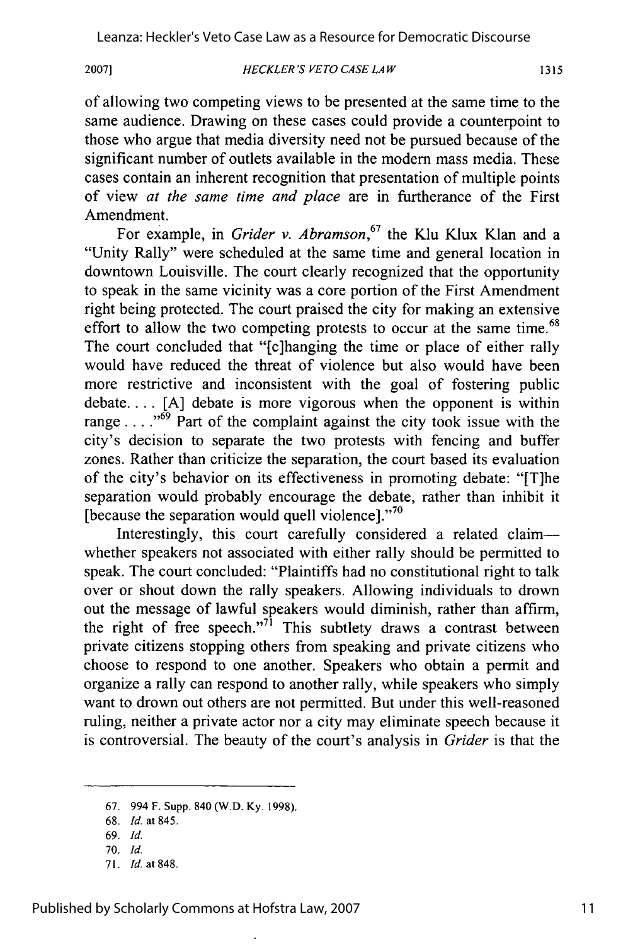**2007]**

#### *HECKLER'S VETO CASE LAW*

of allowing two competing views to be presented at the same time to the same audience. Drawing on these cases could provide a counterpoint to those who argue that media diversity need not be pursued because of the significant number of outlets available in the modem mass media. These cases contain an inherent recognition that presentation of multiple points of view *at the same time and place* are in furtherance of the First Amendment.

For example, in *Grider v. Abramson,67* the Klu Klux Klan and a "Unity Rally" were scheduled at the same time and general location in downtown Louisville. The court clearly recognized that the opportunity to speak in the same vicinity was a core portion of the First Amendment right being protected. The court praised the city for making an extensive effort to allow the two competing protests to occur at the same time.<sup>68</sup> The court concluded that "[c]hanging the time or place of either rally would have reduced the threat of violence but also would have been more restrictive and inconsistent with the goal of fostering public debate.... [A] debate is more vigorous when the opponent is within range  $\dots$ <sup>69</sup> Part of the complaint against the city took issue with the city's decision to separate the two protests with fencing and buffer zones. Rather than criticize the separation, the court based its evaluation of the city's behavior on its effectiveness in promoting debate: "[T]he separation would probably encourage the debate, rather than inhibit it [because the separation would quell violence]. $\cdot$ <sup>70</sup>

Interestingly, this court carefully considered a related claimwhether speakers not associated with either rally should be permitted to speak. The court concluded: "Plaintiffs had no constitutional right to talk over or shout down the rally speakers. Allowing individuals to drown out the message of lawful speakers would diminish, rather than affirm, the right of free speech."<sup>71</sup> This subtlety draws a contrast between private citizens stopping others from speaking and private citizens who choose to respond to one another. Speakers who obtain a permit and organize a rally can respond to another rally, while speakers who simply want to drown out others are not permitted. But under this well-reasoned ruling, neither a private actor nor a city may eliminate speech because it is controversial. The beauty of the court's analysis in *Grider* is that the

<sup>67. 994</sup> F. Supp. 840 (W.D. Ky. 1998).

<sup>68.</sup> *Id.* at 845.

<sup>69.</sup> *Id.*

<sup>70.</sup> *Id.*

<sup>71.</sup> *Id.* at 848.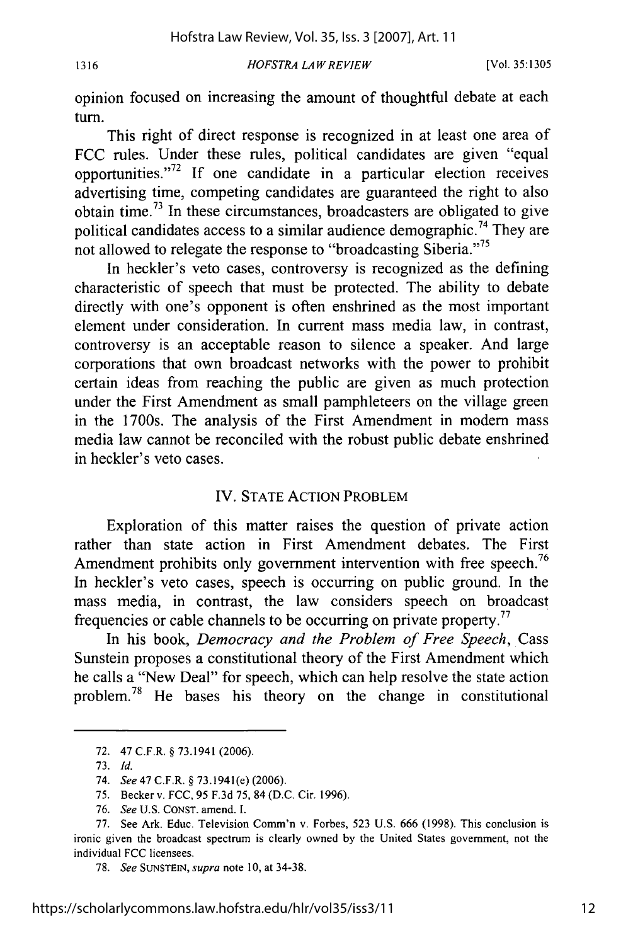1316

## *HOFSTRA LAW REVIEW*

opinion focused on increasing the amount of thoughtful debate at each turn.

This right of direct response is recognized in at least one area of FCC rules. Under these rules, political candidates are given "equal opportunities. $172$  If one candidate in a particular election receives advertising time, competing candidates are guaranteed the right to also obtain time.73 In these circumstances, broadcasters are obligated to give political candidates access to a similar audience demographic.<sup>74</sup> They are not allowed to relegate the response to "broadcasting Siberia."<sup>75</sup>

In heckler's veto cases, controversy is recognized as the defining characteristic of speech that must be protected. The ability to debate directly with one's opponent is often enshrined as the most important element under consideration. In current mass media law, in contrast, controversy is an acceptable reason to silence a speaker. And large corporations that own broadcast networks with the power to prohibit certain ideas from reaching the public are given as much protection under the First Amendment as small pamphleteers on the village green in the 1700s. The analysis of the First Amendment in modem mass media law cannot be reconciled with the robust public debate enshrined in heckler's veto cases.

## IV. STATE ACTION PROBLEM

Exploration of this matter raises the question of private action rather than state action in First Amendment debates. The First Amendment prohibits only government intervention with free speech.<sup>76</sup> In heckler's veto cases, speech is occurring on public ground. In the mass media, in contrast, the law considers speech on broadcast frequencies or cable channels to be occurring on private property.<sup>77</sup>

In his book, *Democracy and the Problem of Free Speech,* Cass Sunstein proposes a constitutional theory of the First Amendment which he calls a "New Deal" for speech, which can help resolve the state action problem.<sup>78</sup> He bases his theory on the change in constitutional

<sup>72. 47</sup> C.F.R. § 73.1941 (2006).

<sup>73.</sup> *Id.*

<sup>74.</sup> *See* 47 C.F.R. § 73.1941(e) (2006).

<sup>75.</sup> Becker v. FCC, 95 F.3d 75, 84 (D.C. Cir. 1996).

<sup>76.</sup> *See* U.S. CONST. amend. **1.**

<sup>77.</sup> See Ark. Educ. Television Comm'n v. Forbes, 523 U.S. 666 (1998). This conclusion is ironic given the broadcast spectrum is clearly owned by the United States government, not the individual FCC licensees.

<sup>78.</sup> *See* SUNSTEIN, *supra* note **10,** at 34-38.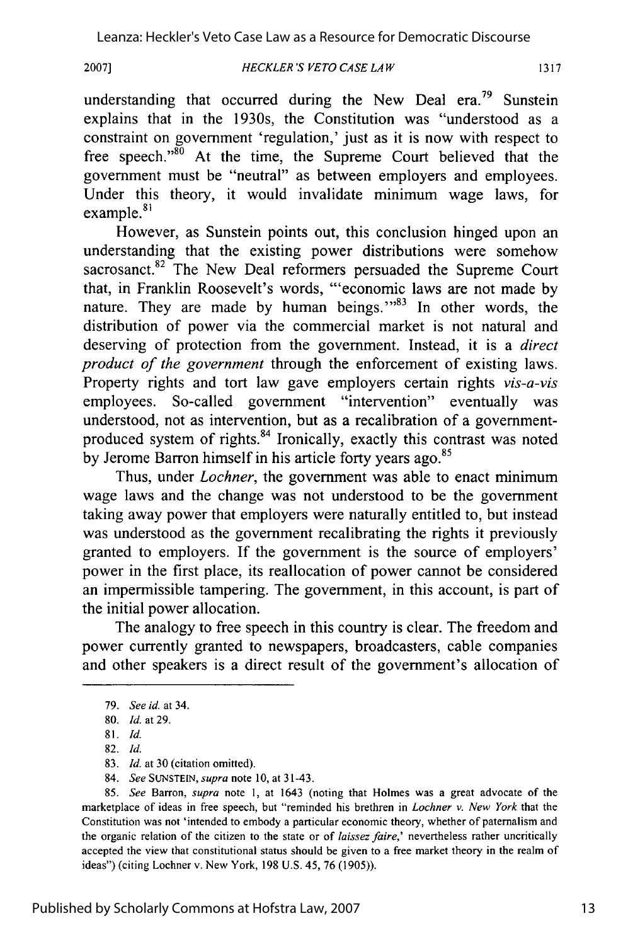**2007]**

understanding that occurred during the New Deal era.<sup>79</sup> Sunstein explains that in the 1930s, the Constitution was "understood as a constraint on government 'regulation,' just as it is now with respect to free speech."<sup>80</sup> At the time, the Supreme Court believed that the government must be "neutral" as between employers and employees. Under this theory, it would invalidate minimum wage laws, for  $example.<sup>81</sup>$ 

However, as Sunstein points out, this conclusion hinged upon an understanding that the existing power distributions were somehow sacrosanct.<sup>82</sup> The New Deal reformers persuaded the Supreme Court that, in Franklin Roosevelt's words, "'economic laws are not made by nature. They are made by human beings."<sup>83</sup> In other words, the distribution of power via the commercial market is not natural and deserving of protection from the government. Instead, it is a *direct product of the government* through the enforcement of existing laws. Property rights and tort law gave employers certain rights *vis-a-vis* employees. So-called government "intervention" eventually was understood, not as intervention, but as a recalibration of a governmentproduced system of rights.<sup>84</sup> Ironically, exactly this contrast was noted by Jerome Barron himself in his article forty years ago.<sup>85</sup>

Thus, under *Lochner,* the government was able to enact minimum wage laws and the change was not understood to be the government taking away power that employers were naturally entitled to, but instead was understood as the government recalibrating the rights it previously granted to employers. If the government is the source of employers' power in the first place, its reallocation of power cannot be considered an impermissible tampering. The government, in this account, is part of the initial power allocation.

The analogy to free speech in this country is clear. The freedom and power currently granted to newspapers, broadcasters, cable companies and other speakers is a direct result of the government's allocation of

85. *See* Barron, *supra* note **1,** at 1643 (noting that Holmes was a great advocate of the marketplace of ideas in free speech, but "reminded his brethren in *Lochner v.* New *York* that the Constitution was not 'intended to embody a particular economic theory, whether of paternalism and the organic relation of the citizen to the state or of *laissez faire,'* nevertheless rather uncritically accepted the view that constitutional status should be given to a free market theory in the realm of ideas") (citing Lochner v. New York, 198 U.S. 45, 76 (1905)).

<sup>79.</sup> *See id.* at 34.

<sup>80.</sup> *Id.* at 29.

<sup>81.</sup> *Id.*

<sup>82.</sup> *Id.*

<sup>83.</sup> *Id.* at 30 (citation omitted).

<sup>84.</sup> *See* **SUNSTEIN,** *supra* note 10, at 31-43.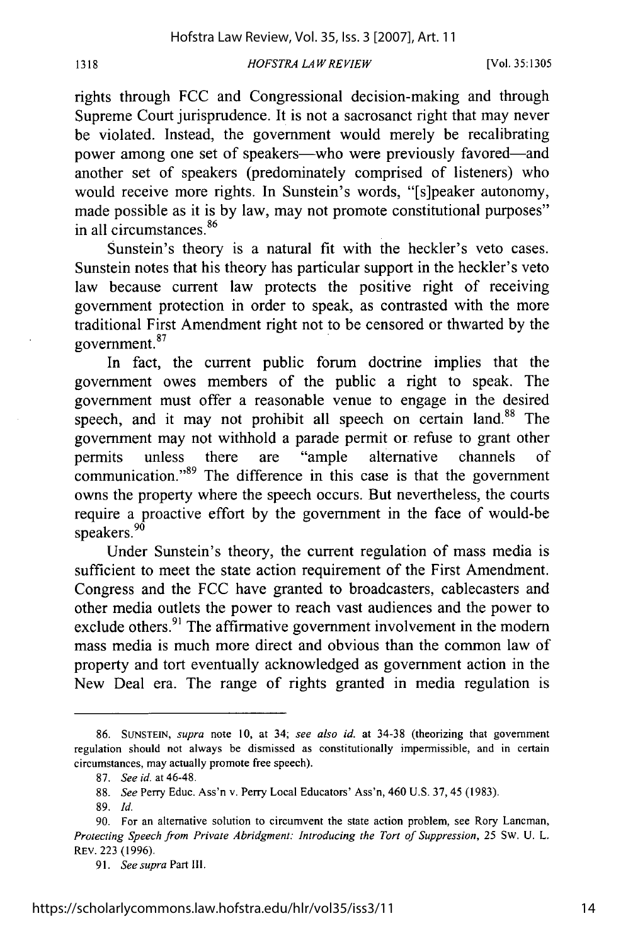rights through FCC and Congressional decision-making and through Supreme Court jurisprudence. It is not a sacrosanct right that may never be violated. Instead, the government would merely be recalibrating power among one set of speakers—who were previously favored—and another set of speakers (predominately comprised of listeners) who would receive more rights. In Sunstein's words, "[s]peaker autonomy, made possible as it is by law, may not promote constitutional purposes" in all circumstances.<sup>86</sup>

Sunstein's theory is a natural fit with the heckler's veto cases. Sunstein notes that his theory has particular support in the heckler's veto law because current law protects the positive right of receiving government protection in order to speak, as contrasted with the more traditional First Amendment right not to be censored or thwarted by the  $14$  government.<sup>87</sup>

In fact, the current public forum doctrine implies that the government owes members of the public a right to speak. The government must offer a reasonable venue to engage in the desired speech, and it may not prohibit all speech on certain land.<sup>88</sup> The government may not withhold a parade permit or refuse to grant other permits unless there are "ample alternative channels of communication."<sup>89</sup> The difference in this case is that the government owns the property where the speech occurs. But nevertheless, the courts require a proactive effort by the government in the face of would-be speakers.<sup>90</sup>

Under Sunstein's theory, the current regulation of mass media is sufficient to meet the state action requirement of the First Amendment. Congress and the FCC have granted to broadcasters, cablecasters and other media outlets the power to reach vast audiences and the power to exclude others.<sup>91</sup> The affirmative government involvement in the modern mass media is much more direct and obvious than the common law of property and tort eventually acknowledged as government action in the New Deal era. The range of rights granted in media regulation is

<sup>86.</sup> **SUNSTEIN,** *supra* note 10, at 34; *see also id.* at 34-38 (theorizing that government regulation should not always be dismissed as constitutionally impermissible, and in certain circumstances, may actually promote free speech).

<sup>87.</sup> *See id.* at 46-48.

<sup>88.</sup> *See* Perry Educ. Ass'n v. Perry Local Educators' Ass'n, 460 U.S. 37,45 (1983).

<sup>89.</sup> *Id.*

<sup>90.</sup> For an alternative solution to circumvent the state action problem, see Rory Lancman, *Protecting Speech from Private Abridgment: Introducing the Tort of Suppression,* 25 Sw. U. L. REV. 223 (1996).

<sup>91.</sup> *See supra* Part Ill.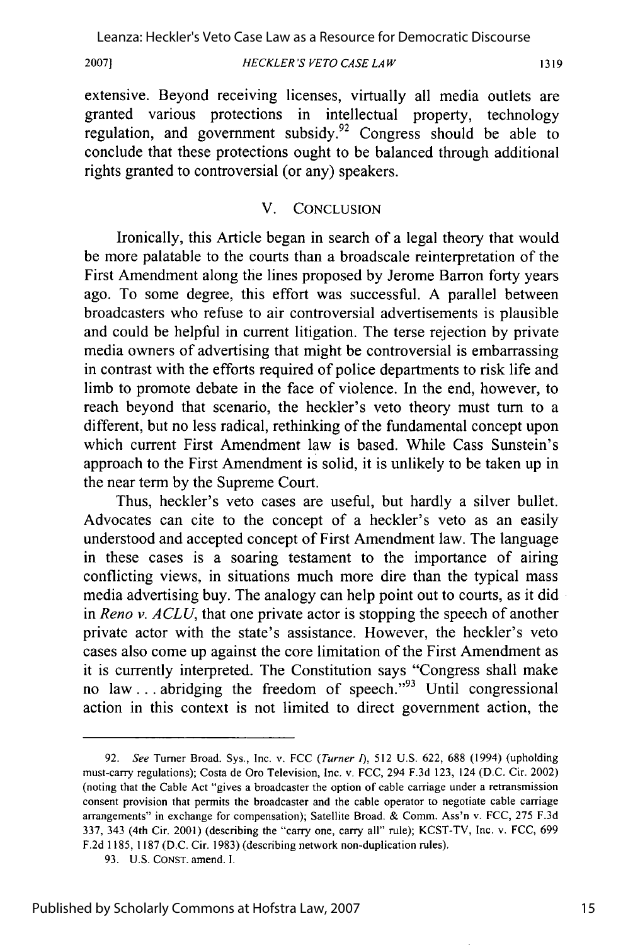*HECKLER'S VETO CASE LA W* **2007]**

extensive. Beyond receiving licenses, virtually all media outlets are granted various protections in intellectual property, technology regulation, and government subsidy.<sup>92</sup> Congress should be able to conclude that these protections ought to be balanced through additional rights granted to controversial (or any) speakers.

## V. CONCLUSION

Ironically, this Article began in search of a legal theory that would be more palatable to the courts than a broadscale reinterpretation of the First Amendment along the lines proposed by Jerome Barron forty years ago. To some degree, this effort was successful. A parallel between broadcasters who refuse to air controversial advertisements is plausible and could be helpful in current litigation. The terse rejection by private media owners of advertising that might be controversial is embarrassing in contrast with the efforts required of police departments to risk life and limb to promote debate in the face of violence. In the end, however, to reach beyond that scenario, the heckler's veto theory must turn to a different, but no less radical, rethinking of the fundamental concept upon which current First Amendment law is based. While Cass Sunstein's approach to the First Amendment is solid, it is unlikely to be taken up in the near term by the Supreme Court.

Thus, heckler's veto cases are useful, but hardly a silver bullet. Advocates can cite to the concept of a heckler's veto as an easily understood and accepted concept of First Amendment law. The language in these cases is a soaring testament to the importance of airing conflicting views, in situations much more dire than the typical mass media advertising buy. The analogy can help point out to courts, as it did in *Reno v. A CLU,* that one private actor is stopping the speech of another private actor with the state's assistance. However, the heckler's veto cases also come up against the core limitation of the First Amendment as it is currently interpreted. The Constitution says "Congress shall make no law ... abridging the freedom of speech."<sup>93</sup> Until congressional action in this context is not limited to direct government action, the

<sup>92.</sup> *See* Turner Broad. Sys., Inc. v. FCC *(Turner 1),* 512 U.S. 622, 688 (1994) (upholding must-carry regulations); Costa de Oro Television, Inc. v. FCC, 294 F.3d 123, 124 (D.C. Cir. 2002) (noting that the Cable Act "gives a broadcaster the option of cable carriage under a retransmission consent provision that permits the broadcaster and the cable operator to negotiate cable carriage arrangements" in exchange for compensation); Satellite Broad. & Comm. Ass'n v. FCC, 275 F.3d 337, 343 (4th Cir. 2001) (describing the "carry one, carry all" rule); KCST-TV, Inc. v. FCC, 699 F.2d 1185, 1187 (D.C. Cir. 1983) (describing network non-duplication rules).

<sup>93.</sup> U.S. CONST. amend. I.